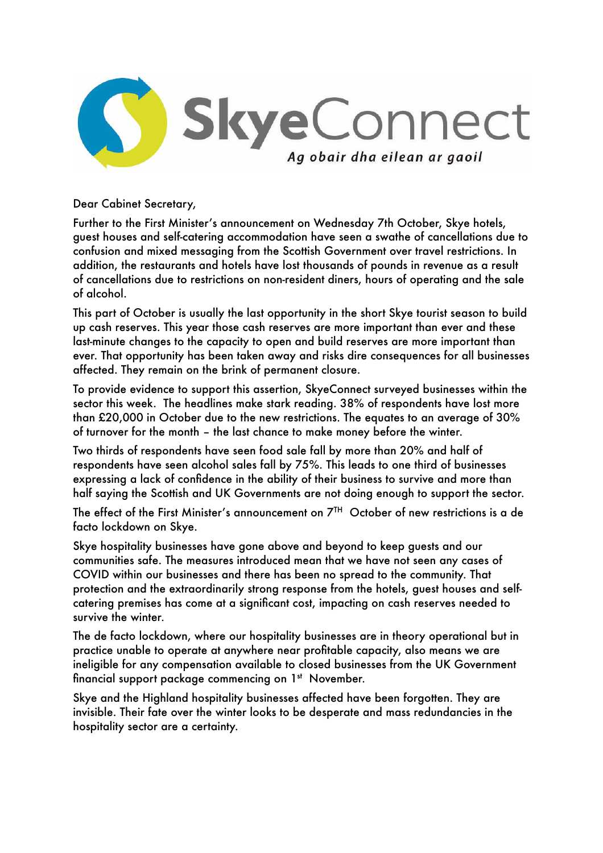

Dear Cabinet Secretary,

Further to the First Minister's announcement on Wednesday 7th October, Skye hotels, guest houses and self-catering accommodation have seen a swathe of cancellations due to confusion and mixed messaging from the Scottish Government over travel restrictions. In addition, the restaurants and hotels have lost thousands of pounds in revenue as a result of cancellations due to restrictions on non-resident diners, hours of operating and the sale of alcohol.

This part of October is usually the last opportunity in the short Skye tourist season to build up cash reserves. This year those cash reserves are more important than ever and these last-minute changes to the capacity to open and build reserves are more important than ever. That opportunity has been taken away and risks dire consequences for all businesses affected. They remain on the brink of permanent closure.

To provide evidence to support this assertion, SkyeConnect surveyed businesses within the sector this week. The headlines make stark reading. 38% of respondents have lost more than £20,000 in October due to the new restrictions. The equates to an average of 30% of turnover for the month – the last chance to make money before the winter.

Two thirds of respondents have seen food sale fall by more than 20% and half of respondents have seen alcohol sales fall by 75%. This leads to one third of businesses expressing a lack of confidence in the ability of their business to survive and more than half saying the Scottish and UK Governments are not doing enough to support the sector.

The effect of the First Minister's announcement on 7TH October of new restrictions is a de facto lockdown on Skye.

Skye hospitality businesses have gone above and beyond to keep guests and our communities safe. The measures introduced mean that we have not seen any cases of COVID within our businesses and there has been no spread to the community. That protection and the extraordinarily strong response from the hotels, guest houses and selfcatering premises has come at a significant cost, impacting on cash reserves needed to survive the winter.

The de facto lockdown, where our hospitality businesses are in theory operational but in practice unable to operate at anywhere near profitable capacity, also means we are ineligible for any compensation available to closed businesses from the UK Government financial support package commencing on 1<sup>st</sup> November.

Skye and the Highland hospitality businesses affected have been forgotten. They are invisible. Their fate over the winter looks to be desperate and mass redundancies in the hospitality sector are a certainty.